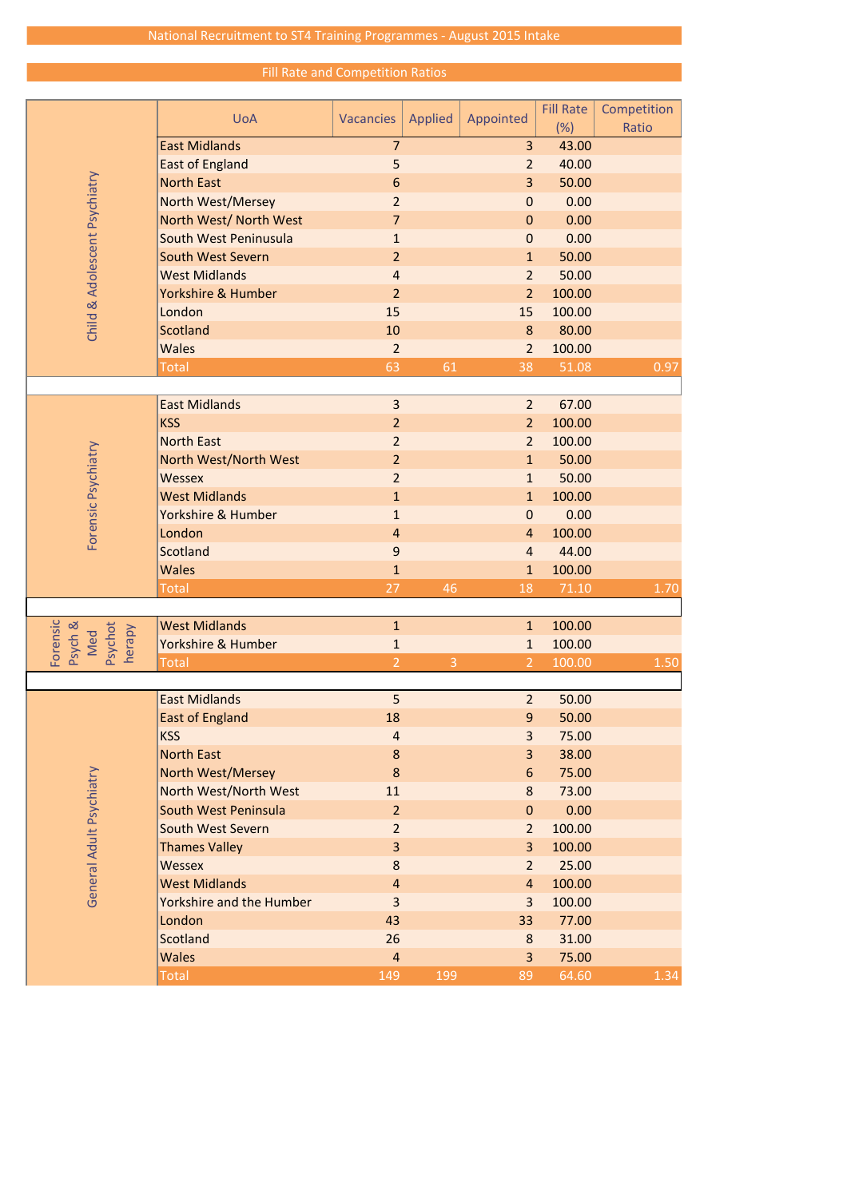Fill Rate and Competition Ratios

|                                                 |                          |                  |                |                  | <b>Fill Rate</b> | Competition |
|-------------------------------------------------|--------------------------|------------------|----------------|------------------|------------------|-------------|
| Child & Adolescent Psychiatry                   | <b>UoA</b>               | <b>Vacancies</b> | <b>Applied</b> | Appointed        | (%)              | Ratio       |
|                                                 | <b>East Midlands</b>     | $\overline{7}$   |                | 3                | 43.00            |             |
|                                                 | <b>East of England</b>   | 5                |                | $\overline{2}$   | 40.00            |             |
|                                                 | <b>North East</b>        | $\boldsymbol{6}$ |                | 3                | 50.00            |             |
|                                                 | North West/Mersey        | $\overline{2}$   |                | $\mathbf 0$      | 0.00             |             |
|                                                 | North West/ North West   | 7                |                | $\mathbf{0}$     | 0.00             |             |
|                                                 | South West Peninusula    | $\mathbf{1}$     |                | $\mathbf{0}$     | 0.00             |             |
|                                                 | <b>South West Severn</b> | $\overline{2}$   |                | $\mathbf{1}$     | 50.00            |             |
|                                                 | <b>West Midlands</b>     | $\overline{4}$   |                | $\overline{2}$   | 50.00            |             |
|                                                 | Yorkshire & Humber       | $\overline{2}$   |                | $\overline{2}$   | 100.00           |             |
|                                                 | London                   | 15               |                | 15               | 100.00           |             |
|                                                 | <b>Scotland</b>          | 10               |                | 8                | 80.00            |             |
|                                                 | <b>Wales</b>             | $\overline{2}$   |                | $\overline{2}$   | 100.00           |             |
|                                                 | <b>Total</b>             | 63               | 61             | 38               | 51.08            | 0.97        |
|                                                 |                          |                  |                |                  |                  |             |
|                                                 | <b>East Midlands</b>     | $\overline{3}$   |                | $\overline{2}$   | 67.00            |             |
|                                                 | <b>KSS</b>               | $\overline{2}$   |                | $\overline{2}$   | 100.00           |             |
|                                                 | <b>North East</b>        | $\overline{2}$   |                | $\overline{2}$   | 100.00           |             |
|                                                 | North West/North West    | $\overline{2}$   |                | $\mathbf{1}$     | 50.00            |             |
|                                                 | <b>Wessex</b>            | $\overline{2}$   |                | $\mathbf{1}$     | 50.00            |             |
|                                                 | <b>West Midlands</b>     | $\mathbf{1}$     |                | $\mathbf{1}$     | 100.00           |             |
| Forensic Psychiatry                             | Yorkshire & Humber       | $\mathbf{1}$     |                | $\boldsymbol{0}$ | 0.00             |             |
|                                                 | London                   | $\overline{4}$   |                | $\overline{4}$   | 100.00           |             |
|                                                 | Scotland                 | $\boldsymbol{9}$ |                | $\overline{4}$   | 44.00            |             |
|                                                 | <b>Wales</b>             | $\mathbf{1}$     |                | $\mathbf{1}$     | 100.00           |             |
|                                                 | <b>Total</b>             | 27               | 46             | 18               | 71.10            | 1.70        |
|                                                 |                          |                  |                |                  |                  |             |
|                                                 | <b>West Midlands</b>     | $\mathbf{1}$     |                | $\mathbf{1}$     | 100.00           |             |
| Forensic<br>Psychot<br>Psych &<br>herapy<br>Med | Yorkshire & Humber       | $\mathbf{1}$     |                | $\mathbf{1}$     | 100.00           |             |
|                                                 | <b>Total</b>             | $\overline{2}$   | $\overline{3}$ | $\overline{2}$   | 100.00           | 1.50        |
|                                                 |                          |                  |                |                  |                  |             |
| General Adult Psychiatry                        | <b>East Midlands</b>     | 5                |                | $\overline{2}$   | 50.00            |             |
|                                                 | <b>East of England</b>   | 18               |                | 9                | 50.00            |             |
|                                                 | <b>KSS</b>               | $\overline{4}$   |                | 3                | 75.00            |             |
|                                                 | <b>North East</b>        | $\bf 8$          |                | 3                | 38.00            |             |
|                                                 | <b>North West/Mersey</b> | 8                |                | 6                | 75.00            |             |
|                                                 | North West/North West    | 11               |                | 8                | 73.00            |             |
|                                                 | South West Peninsula     | $\overline{2}$   |                | $\overline{0}$   | 0.00             |             |
|                                                 | South West Severn        | $\overline{2}$   |                | $\overline{2}$   | 100.00           |             |
|                                                 | <b>Thames Valley</b>     | 3                |                | $\overline{3}$   | 100.00           |             |
|                                                 | <b>Wessex</b>            | 8                |                | $\overline{2}$   | 25.00            |             |
|                                                 | <b>West Midlands</b>     | $\overline{4}$   |                | $\overline{4}$   | 100.00           |             |
|                                                 | Yorkshire and the Humber | 3                |                | 3                | 100.00           |             |
|                                                 | London                   | 43               |                | 33               | 77.00            |             |
|                                                 | <b>Scotland</b>          | 26               |                | 8                | 31.00            |             |
|                                                 | <b>Wales</b>             | $\overline{4}$   |                | 3                | 75.00            |             |
|                                                 | <b>Total</b>             | 149              | 199            | 89               | 64.60            | 1.34        |
|                                                 |                          |                  |                |                  |                  |             |